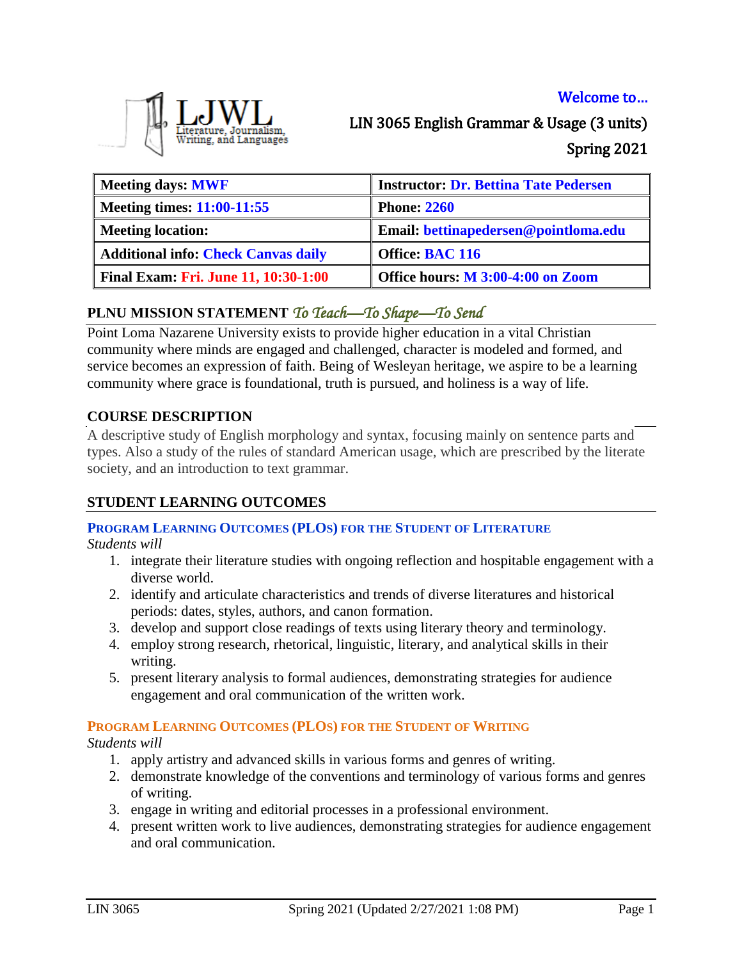# Welcome to…



LIN 3065 English Grammar & Usage (3 units) Spring 2021

| Meeting days: MWF                           | <b>Instructor: Dr. Bettina Tate Pedersen</b> |
|---------------------------------------------|----------------------------------------------|
| Meeting times: $11:00-11:55$                | <b>Phone: 2260</b>                           |
| <b>Meeting location:</b>                    | Email: bettinapedersen@pointloma.edu         |
| <b>Additional info: Check Canvas daily</b>  | <b>Office: BAC 116</b>                       |
| <b>Final Exam: Fri. June 11, 10:30-1:00</b> | Office hours: M 3:00-4:00 on Zoom            |

# **PLNU MISSION STATEMENT** *To Teach—To Shape—To Send*

Point Loma Nazarene University exists to provide higher education in a vital Christian community where minds are engaged and challenged, character is modeled and formed, and service becomes an expression of faith. Being of Wesleyan heritage, we aspire to be a learning community where grace is foundational, truth is pursued, and holiness is a way of life.

# **COURSE DESCRIPTION**

A descriptive study of English morphology and syntax, focusing mainly on sentence parts and types. Also a study of the rules of standard American usage, which are prescribed by the literate society, and an introduction to text grammar.

# **STUDENT LEARNING OUTCOMES**

#### **PROGRAM LEARNING OUTCOMES (PLOS) FOR THE STUDENT OF LITERATURE**

*Students will*

- 1. integrate their literature studies with ongoing reflection and hospitable engagement with a diverse world.
- 2. identify and articulate characteristics and trends of diverse literatures and historical periods: dates, styles, authors, and canon formation.
- 3. develop and support close readings of texts using literary theory and terminology.
- 4. employ strong research, rhetorical, linguistic, literary, and analytical skills in their writing.
- 5. present literary analysis to formal audiences, demonstrating strategies for audience engagement and oral communication of the written work.

# **PROGRAM LEARNING OUTCOMES (PLOS) FOR THE STUDENT OF WRITING**

*Students will*

- 1. apply artistry and advanced skills in various forms and genres of writing.
- 2. demonstrate knowledge of the conventions and terminology of various forms and genres of writing.
- 3. engage in writing and editorial processes in a professional environment.
- 4. present written work to live audiences, demonstrating strategies for audience engagement and oral communication.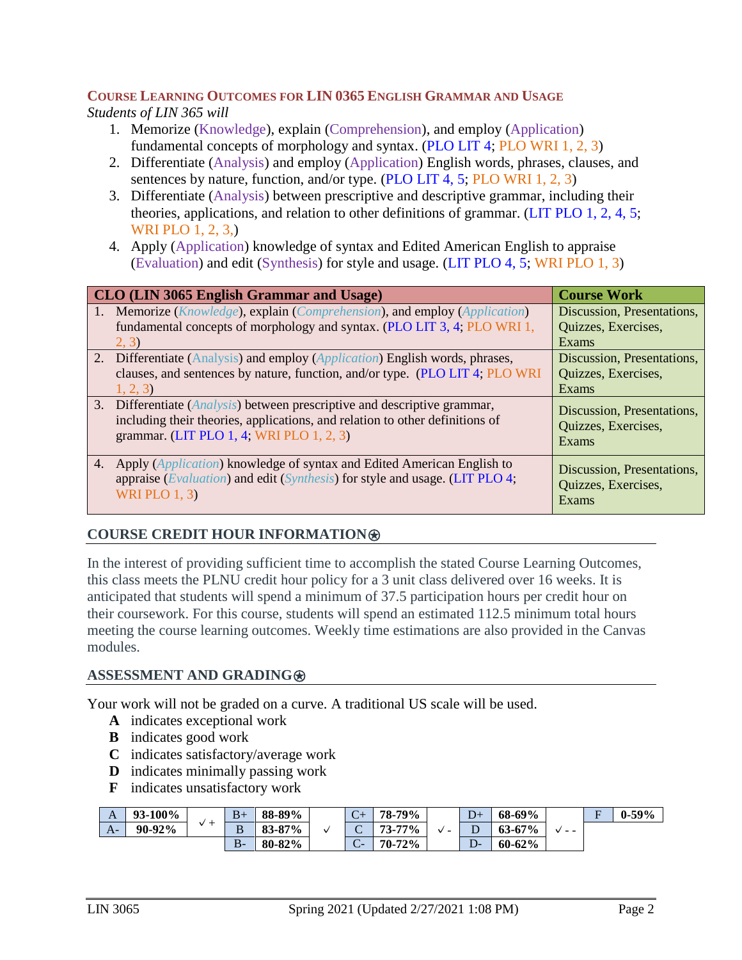# **COURSE LEARNING OUTCOMES FOR LIN 0365 ENGLISH GRAMMAR AND USAGE**

*Students of LIN 365 will* 

- 1. Memorize (Knowledge), explain (Comprehension), and employ (Application) fundamental concepts of morphology and syntax. (PLO LIT 4; PLO WRI 1, 2, 3)
- 2. Differentiate (Analysis) and employ (Application) English words, phrases, clauses, and sentences by nature, function, and/or type. (PLO LIT 4, 5; PLO WRI 1, 2, 3)
- 3. Differentiate (Analysis) between prescriptive and descriptive grammar, including their theories, applications, and relation to other definitions of grammar. (LIT PLO 1, 2, 4, 5; WRI PLO 1, 2, 3,)
- 4. Apply (Application) knowledge of syntax and Edited American English to appraise (Evaluation) and edit (Synthesis) for style and usage. (LIT PLO 4, 5; WRI PLO 1, 3)

| CLO (LIN 3065 English Grammar and Usage)                                                                                                                                                              | <b>Course Work</b>                                         |
|-------------------------------------------------------------------------------------------------------------------------------------------------------------------------------------------------------|------------------------------------------------------------|
| 1. Memorize ( <i>Knowledge</i> ), explain ( <i>Comprehension</i> ), and employ ( <i>Application</i> )                                                                                                 | Discussion, Presentations,                                 |
| fundamental concepts of morphology and syntax. (PLO LIT 3, 4, PLO WRI 1,                                                                                                                              | Quizzes, Exercises,                                        |
| 2, 3)                                                                                                                                                                                                 | Exams                                                      |
| 2. Differentiate (Analysis) and employ ( <i>Application</i> ) English words, phrases,                                                                                                                 | Discussion, Presentations,                                 |
| clauses, and sentences by nature, function, and/or type. (PLO LIT 4; PLO WRI)                                                                                                                         | Quizzes, Exercises,                                        |
| 1, 2, 3                                                                                                                                                                                               | Exams                                                      |
| 3. Differentiate (Analysis) between prescriptive and descriptive grammar,<br>including their theories, applications, and relation to other definitions of<br>grammar. (LIT PLO 1, 4; WRI PLO 1, 2, 3) | Discussion, Presentations,<br>Quizzes, Exercises,<br>Exams |
| 4. Apply ( <i>Application</i> ) knowledge of syntax and Edited American English to<br>appraise (Evaluation) and edit (Synthesis) for style and usage. (LIT PLO 4;<br>WRIPLO $1, 3$                    | Discussion, Presentations,<br>Quizzes, Exercises,<br>Exams |

# **COURSE CREDIT HOUR INFORMATION**⍟

In the interest of providing sufficient time to accomplish the stated Course Learning Outcomes, this class meets the PLNU credit hour policy for a 3 unit class delivered over 16 weeks. It is anticipated that students will spend a minimum of 37.5 participation hours per credit hour on their coursework. For this course, students will spend an estimated 112.5 minimum total hours meeting the course learning outcomes. Weekly time estimations are also provided in the Canvas modules.

# **ASSESSMENT AND GRADING**⍟

Your work will not be graded on a curve. A traditional US scale will be used.

- **A** indicates exceptional work
- **B** indicates good work
- **C** indicates satisfactory/average work
- **D** indicates minimally passing work
- **F** indicates unsatisfactory work

| A    | 93-100%  | $B+$        | 88-89%             | $\sqrt{ }$<br>$\mathsf{C}^+$   | 78-79%     |                          | --                       | 68-69%     |      | $\blacksquare$<br>н | $0 - 59%$ |
|------|----------|-------------|--------------------|--------------------------------|------------|--------------------------|--------------------------|------------|------|---------------------|-----------|
| $A-$ | $90-92%$ | <br>D.<br>D | 87%<br>Q2<br>09-01 | ∽<br>$\widetilde{\phantom{a}}$ | 77%<br>73- | $\overline{\phantom{a}}$ | ╍                        | $63 - 67%$ | $ -$ |                     |           |
|      |          | $B -$       | 80-82%             | $\sqrt{ }$<br>◡                | 70-72%     |                          | $\overline{\phantom{a}}$ | 60-62%     |      |                     |           |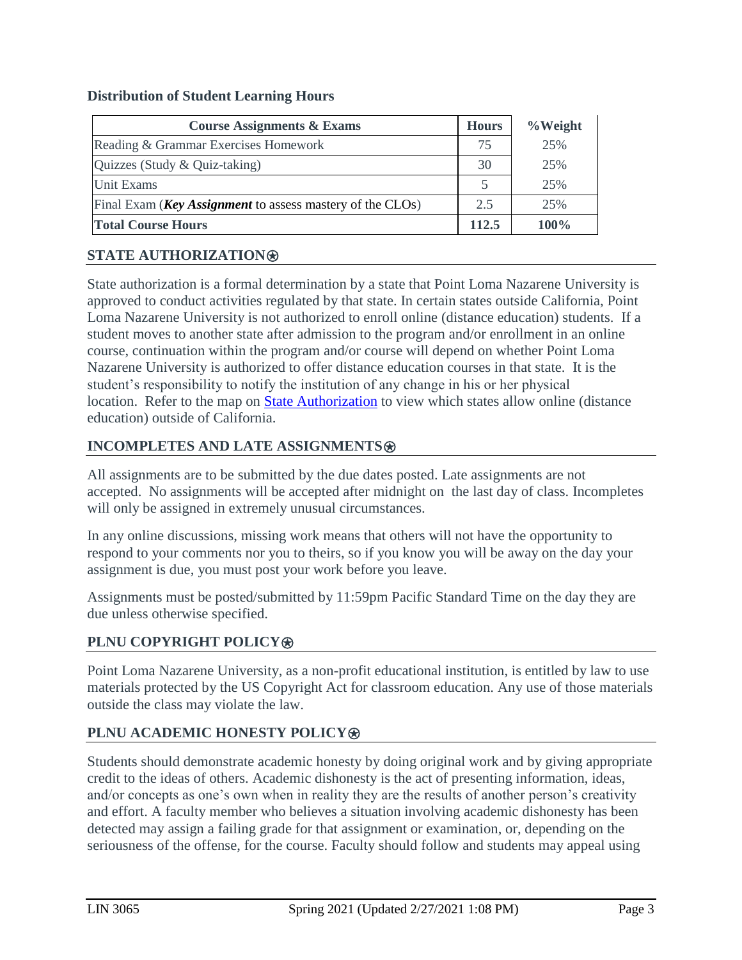#### **Distribution of Student Learning Hours**

| <b>Course Assignments &amp; Exams</b>                             | <b>Hours</b> | % Weight |
|-------------------------------------------------------------------|--------------|----------|
| Reading & Grammar Exercises Homework                              | 75           | 25%      |
| Quizzes (Study & Quiz-taking)                                     | 30           | 25%      |
| Unit Exams                                                        |              | 25%      |
| Final Exam ( <b>Key Assignment</b> to assess mastery of the CLOs) | 2.5          | 25%      |
| <b>Total Course Hours</b>                                         | 112.5        | 100%     |

## **STATE AUTHORIZATION**⍟

State authorization is a formal determination by a state that Point Loma Nazarene University is approved to conduct activities regulated by that state. In certain states outside California, Point Loma Nazarene University is not authorized to enroll online (distance education) students. If a student moves to another state after admission to the program and/or enrollment in an online course, continuation within the program and/or course will depend on whether Point Loma Nazarene University is authorized to offer distance education courses in that state. It is the student's responsibility to notify the institution of any change in his or her physical location. Refer to the map on **[State Authorization](https://www.pointloma.edu/offices/office-institutional-effectiveness-research/disclosures)** to view which states allow online (distance education) outside of California.

## **INCOMPLETES AND LATE ASSIGNMENTS**

All assignments are to be submitted by the due dates posted. Late assignments are not accepted. No assignments will be accepted after midnight on the last day of class. Incompletes will only be assigned in extremely unusual circumstances.

In any online discussions, missing work means that others will not have the opportunity to respond to your comments nor you to theirs, so if you know you will be away on the day your assignment is due, you must post your work before you leave.

Assignments must be posted/submitted by 11:59pm Pacific Standard Time on the day they are due unless otherwise specified.

#### **PLNU COPYRIGHT POLICY<sup>**</sup>

Point Loma Nazarene University, as a non-profit educational institution, is entitled by law to use materials protected by the US Copyright Act for classroom education. Any use of those materials outside the class may violate the law.

# **PLNU ACADEMIC HONESTY POLICY**⍟

Students should demonstrate academic honesty by doing original work and by giving appropriate credit to the ideas of others. Academic dishonesty is the act of presenting information, ideas, and/or concepts as one's own when in reality they are the results of another person's creativity and effort. A faculty member who believes a situation involving academic dishonesty has been detected may assign a failing grade for that assignment or examination, or, depending on the seriousness of the offense, for the course. Faculty should follow and students may appeal using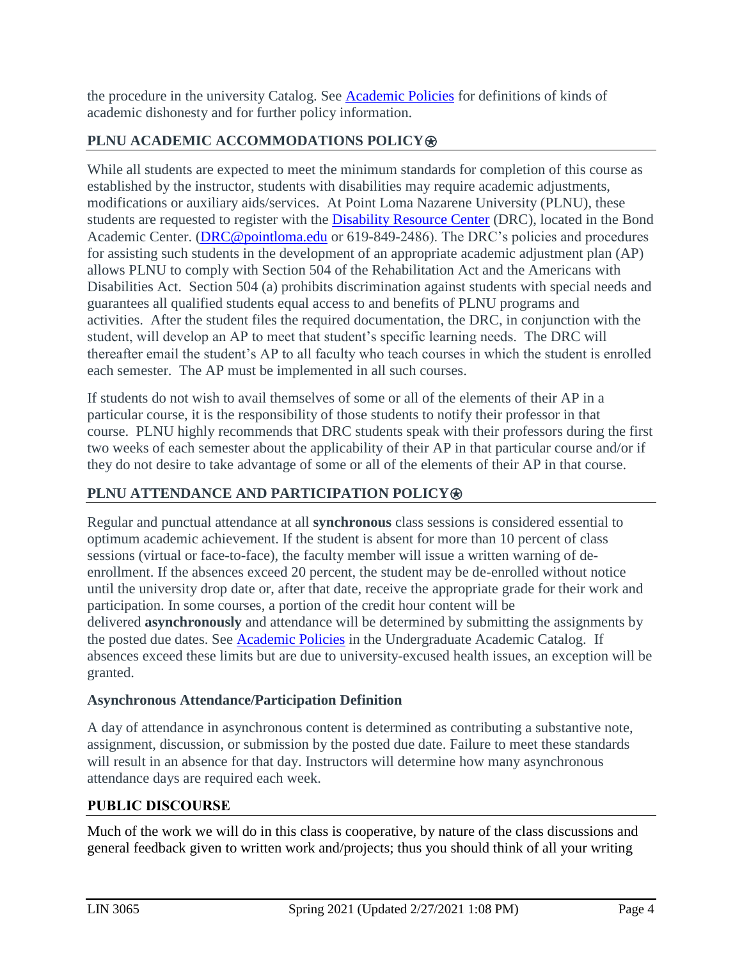the procedure in the university Catalog. See [Academic Policies](https://catalog.pointloma.edu/content.php?catoid=46&navoid=2650) for definitions of kinds of academic dishonesty and for further policy information.

# **PLNU ACADEMIC ACCOMMODATIONS POLICY®**

While all students are expected to meet the minimum standards for completion of this course as established by the instructor, students with disabilities may require academic adjustments, modifications or auxiliary aids/services. At Point Loma Nazarene University (PLNU), these students are requested to register with the [Disability Resource Center](https://www.pointloma.edu/offices/disability-resource-center) (DRC), located in the Bond Academic Center. (DRC@pointloma.edu or 619-849-2486). The DRC's policies and procedures for assisting such students in the development of an appropriate academic adjustment plan (AP) allows PLNU to comply with Section 504 of the Rehabilitation Act and the Americans with Disabilities Act. Section 504 (a) prohibits discrimination against students with special needs and guarantees all qualified students equal access to and benefits of PLNU programs and activities. After the student files the required documentation, the DRC, in conjunction with the student, will develop an AP to meet that student's specific learning needs. The DRC will thereafter email the student's AP to all faculty who teach courses in which the student is enrolled each semester. The AP must be implemented in all such courses.

If students do not wish to avail themselves of some or all of the elements of their AP in a particular course, it is the responsibility of those students to notify their professor in that course. PLNU highly recommends that DRC students speak with their professors during the first two weeks of each semester about the applicability of their AP in that particular course and/or if they do not desire to take advantage of some or all of the elements of their AP in that course.

# **PLNU ATTENDANCE AND PARTICIPATION POLICY**⍟

Regular and punctual attendance at all **synchronous** class sessions is considered essential to optimum academic achievement. If the student is absent for more than 10 percent of class sessions (virtual or face-to-face), the faculty member will issue a written warning of deenrollment. If the absences exceed 20 percent, the student may be de-enrolled without notice until the university drop date or, after that date, receive the appropriate grade for their work and participation. In some courses, a portion of the credit hour content will be delivered **asynchronously** and attendance will be determined by submitting the assignments by the posted due dates. See [Academic Policies](https://catalog.pointloma.edu/content.php?catoid=46&navoid=2650) in the Undergraduate Academic Catalog. If absences exceed these limits but are due to university-excused health issues, an exception will be granted.

# **Asynchronous Attendance/Participation Definition**

A day of attendance in asynchronous content is determined as contributing a substantive note, assignment, discussion, or submission by the posted due date. Failure to meet these standards will result in an absence for that day. Instructors will determine how many asynchronous attendance days are required each week.

# **PUBLIC DISCOURSE**

Much of the work we will do in this class is cooperative, by nature of the class discussions and general feedback given to written work and/projects; thus you should think of all your writing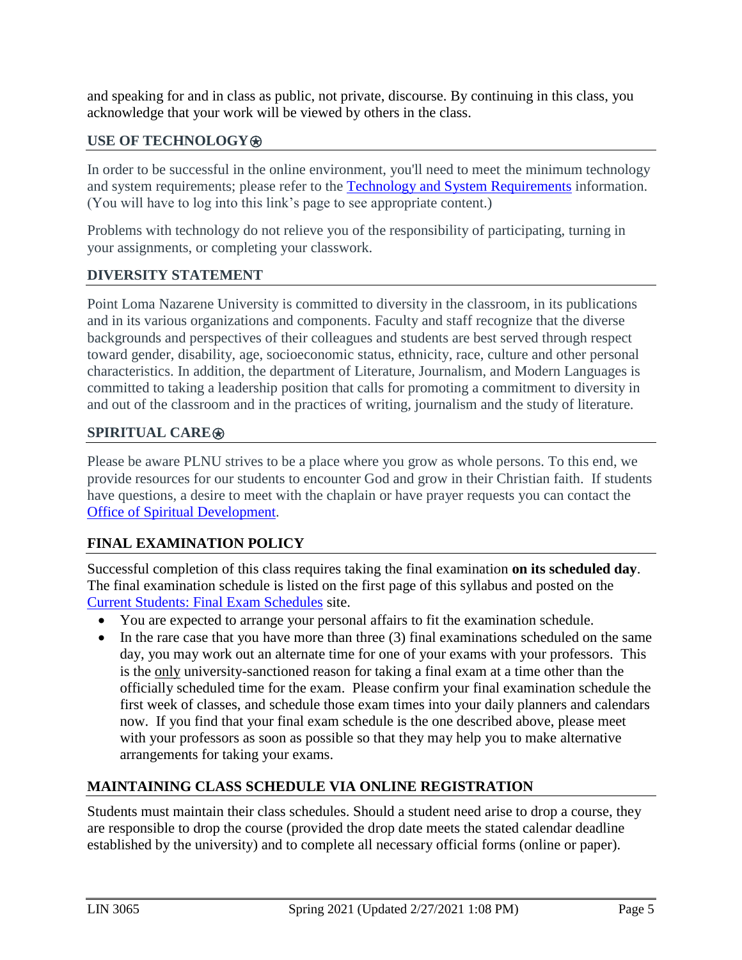and speaking for and in class as public, not private, discourse. By continuing in this class, you acknowledge that your work will be viewed by others in the class.

## **USE OF TECHNOLOGY**⍟

In order to be successful in the online environment, you'll need to meet the minimum technology and system requirements; please refer to the [Technology and System Requirements](https://help.pointloma.edu/TDClient/1808/Portal/KB/ArticleDet?ID=108349) information. (You will have to log into this link's page to see appropriate content.)

Problems with technology do not relieve you of the responsibility of participating, turning in your assignments, or completing your classwork.

#### **DIVERSITY STATEMENT**

Point Loma Nazarene University is committed to diversity in the classroom, in its publications and in its various organizations and components. Faculty and staff recognize that the diverse backgrounds and perspectives of their colleagues and students are best served through respect toward gender, disability, age, socioeconomic status, ethnicity, race, culture and other personal characteristics. In addition, the department of Literature, Journalism, and Modern Languages is committed to taking a leadership position that calls for promoting a commitment to diversity in and out of the classroom and in the practices of writing, journalism and the study of literature.

## **SPIRITUAL CARE**⍟

Please be aware PLNU strives to be a place where you grow as whole persons. To this end, we provide resources for our students to encounter God and grow in their Christian faith. If students have questions, a desire to meet with the chaplain or have prayer requests you can contact the [Office of Spiritual Development.](https://www.pointloma.edu/offices/spiritual-development)

# **FINAL EXAMINATION POLICY**

Successful completion of this class requires taking the final examination **on its scheduled day**. The final examination schedule is listed on the first page of this syllabus and posted on the [Current Students: Final Exam Schedules](https://www.pointloma.edu/current-students) site.

- You are expected to arrange your personal affairs to fit the examination schedule.
- In the rare case that you have more than three (3) final examinations scheduled on the same day, you may work out an alternate time for one of your exams with your professors. This is the only university-sanctioned reason for taking a final exam at a time other than the officially scheduled time for the exam. Please confirm your final examination schedule the first week of classes, and schedule those exam times into your daily planners and calendars now. If you find that your final exam schedule is the one described above, please meet with your professors as soon as possible so that they may help you to make alternative arrangements for taking your exams.

#### **MAINTAINING CLASS SCHEDULE VIA ONLINE REGISTRATION**

Students must maintain their class schedules. Should a student need arise to drop a course, they are responsible to drop the course (provided the drop date meets the stated calendar deadline established by the university) and to complete all necessary official forms (online or paper).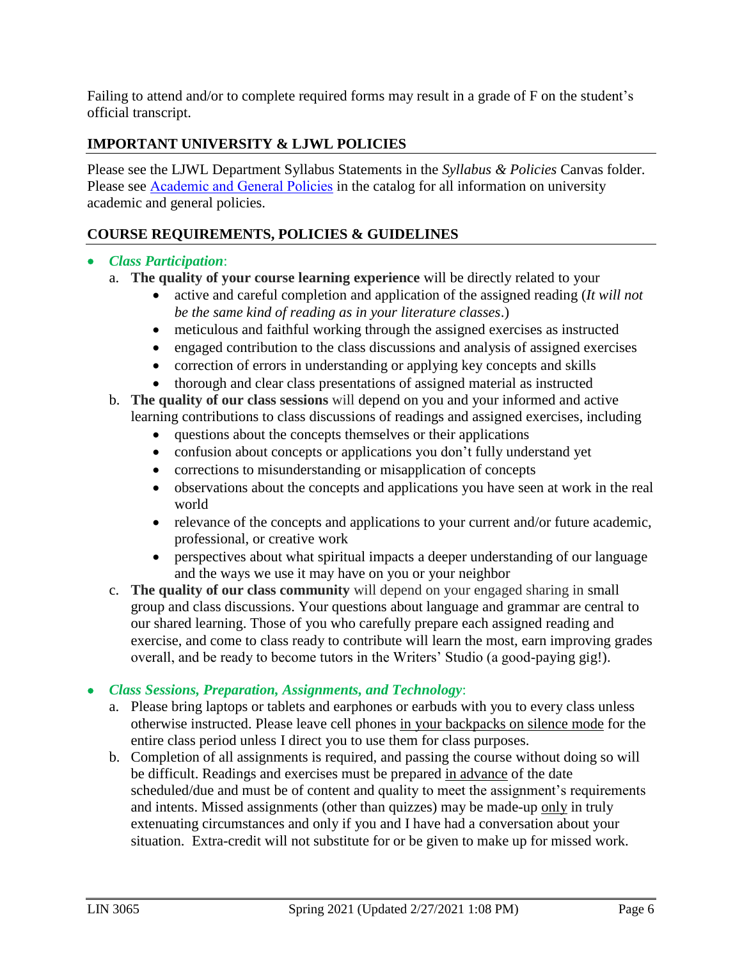Failing to attend and/or to complete required forms may result in a grade of F on the student's official transcript.

# **IMPORTANT UNIVERSITY & LJWL POLICIES**

Please see the LJWL Department Syllabus Statements in the *Syllabus & Policies* Canvas folder. Please see [Academic and General Policies](https://www.metopera.org/about/auditions/national-council-auditions/regional-contact-info/) in the catalog for all information on university academic and general policies.

## **COURSE REQUIREMENTS, POLICIES & GUIDELINES**

#### *Class Participation*:

- a. **The quality of your course learning experience** will be directly related to your
	- active and careful completion and application of the assigned reading (*It will not be the same kind of reading as in your literature classes*.)
	- meticulous and faithful working through the assigned exercises as instructed
	- engaged contribution to the class discussions and analysis of assigned exercises
	- correction of errors in understanding or applying key concepts and skills
	- thorough and clear class presentations of assigned material as instructed
- b. **The quality of our class sessions** will depend on you and your informed and active learning contributions to class discussions of readings and assigned exercises, including
	- questions about the concepts themselves or their applications
	- confusion about concepts or applications you don't fully understand yet
	- corrections to misunderstanding or misapplication of concepts
	- observations about the concepts and applications you have seen at work in the real world
	- relevance of the concepts and applications to your current and/or future academic, professional, or creative work
	- perspectives about what spiritual impacts a deeper understanding of our language and the ways we use it may have on you or your neighbor
- c. **The quality of our class community** will depend on your engaged sharing in small group and class discussions. Your questions about language and grammar are central to our shared learning. Those of you who carefully prepare each assigned reading and exercise, and come to class ready to contribute will learn the most, earn improving grades overall, and be ready to become tutors in the Writers' Studio (a good-paying gig!).

#### *Class Sessions, Preparation, Assignments, and Technology*:

- a. Please bring laptops or tablets and earphones or earbuds with you to every class unless otherwise instructed. Please leave cell phones in your backpacks on silence mode for the entire class period unless I direct you to use them for class purposes.
- b. Completion of all assignments is required, and passing the course without doing so will be difficult. Readings and exercises must be prepared in advance of the date scheduled/due and must be of content and quality to meet the assignment's requirements and intents. Missed assignments (other than quizzes) may be made-up only in truly extenuating circumstances and only if you and I have had a conversation about your situation. Extra-credit will not substitute for or be given to make up for missed work.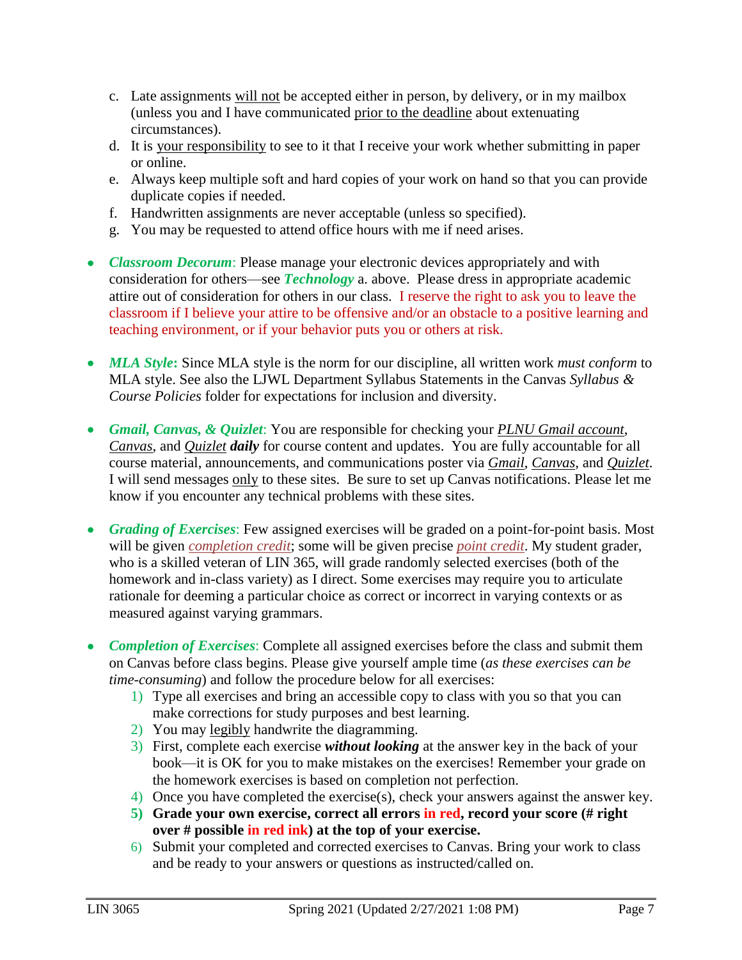- c. Late assignments will not be accepted either in person, by delivery, or in my mailbox (unless you and I have communicated prior to the deadline about extenuating circumstances).
- d. It is your responsibility to see to it that I receive your work whether submitting in paper or online.
- e. Always keep multiple soft and hard copies of your work on hand so that you can provide duplicate copies if needed.
- f. Handwritten assignments are never acceptable (unless so specified).
- g. You may be requested to attend office hours with me if need arises.
- *Classroom Decorum*: Please manage your electronic devices appropriately and with consideration for others—see *Technology* a. above. Please dress in appropriate academic attire out of consideration for others in our class. I reserve the right to ask you to leave the classroom if I believe your attire to be offensive and/or an obstacle to a positive learning and teaching environment, or if your behavior puts you or others at risk.
- MLA Style: Since MLA style is the norm for our discipline, all written work *must conform* to MLA style. See also the LJWL Department Syllabus Statements in the Canvas *Syllabus & Course Policies* folder for expectations for inclusion and diversity.
- *Gmail, Canvas, & Quizlet*: You are responsible for checking your *PLNU Gmail account*, *Canvas*, and *Quizlet daily* for course content and updates. You are fully accountable for all course material, announcements, and communications poster via *Gmail*, *Canvas*, and *Quizlet*. I will send messages only to these sites. Be sure to set up Canvas notifications. Please let me know if you encounter any technical problems with these sites.
- *Grading of Exercises*: Few assigned exercises will be graded on a point-for-point basis. Most will be given *completion credit*; some will be given precise *point credit*. My student grader, who is a skilled veteran of LIN 365, will grade randomly selected exercises (both of the homework and in-class variety) as I direct. Some exercises may require you to articulate rationale for deeming a particular choice as correct or incorrect in varying contexts or as measured against varying grammars.
- *Completion of Exercises*: Complete all assigned exercises before the class and submit them on Canvas before class begins. Please give yourself ample time (*as these exercises can be time-consuming*) and follow the procedure below for all exercises:
	- 1) Type all exercises and bring an accessible copy to class with you so that you can make corrections for study purposes and best learning.
	- 2) You may legibly handwrite the diagramming.
	- 3) First, complete each exercise *without looking* at the answer key in the back of your book—it is OK for you to make mistakes on the exercises! Remember your grade on the homework exercises is based on completion not perfection.
	- 4) Once you have completed the exercise(s), check your answers against the answer key.
	- **5) Grade your own exercise, correct all errors in red, record your score (# right over # possible in red ink) at the top of your exercise.**
	- 6) Submit your completed and corrected exercises to Canvas. Bring your work to class and be ready to your answers or questions as instructed/called on.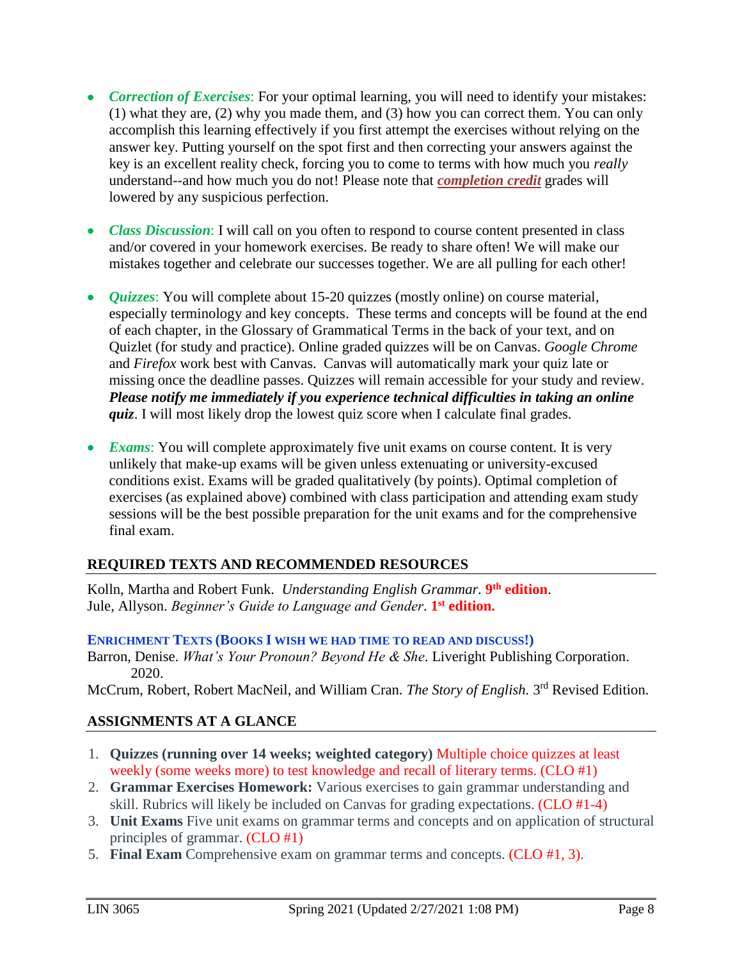- *Correction of Exercises*: For your optimal learning, you will need to identify your mistakes: (1) what they are, (2) why you made them, and (3) how you can correct them. You can only accomplish this learning effectively if you first attempt the exercises without relying on the answer key. Putting yourself on the spot first and then correcting your answers against the key is an excellent reality check, forcing you to come to terms with how much you *really* understand--and how much you do not! Please note that *completion credit* grades will lowered by any suspicious perfection.
- *Class Discussion*: I will call on you often to respond to course content presented in class and/or covered in your homework exercises. Be ready to share often! We will make our mistakes together and celebrate our successes together. We are all pulling for each other!
- *Quizzes*: You will complete about 15-20 quizzes (mostly online) on course material, especially terminology and key concepts. These terms and concepts will be found at the end of each chapter, in the Glossary of Grammatical Terms in the back of your text, and on Quizlet (for study and practice). Online graded quizzes will be on Canvas. *Google Chrome* and *Firefox* work best with Canvas. Canvas will automatically mark your quiz late or missing once the deadline passes. Quizzes will remain accessible for your study and review. *Please notify me immediately if you experience technical difficulties in taking an online quiz*. I will most likely drop the lowest quiz score when I calculate final grades.
- *Exams*: You will complete approximately five unit exams on course content. It is very unlikely that make-up exams will be given unless extenuating or university-excused conditions exist. Exams will be graded qualitatively (by points). Optimal completion of exercises (as explained above) combined with class participation and attending exam study sessions will be the best possible preparation for the unit exams and for the comprehensive final exam.

# **REQUIRED TEXTS AND RECOMMENDED RESOURCES**

Kolln, Martha and Robert Funk. *Understanding English Grammar.* **9 th edition**. Jule, Allyson. *Beginner's Guide to Language and Gender*. **1 st edition.**

#### **ENRICHMENT TEXTS (BOOKS I WISH WE HAD TIME TO READ AND DISCUSS!)**

Barron, Denise. *What's Your Pronoun? Beyond He & She*. Liveright Publishing Corporation. 2020.

McCrum, Robert, Robert MacNeil, and William Cran. *The Story of English*. 3<sup>rd</sup> Revised Edition.

# **ASSIGNMENTS AT A GLANCE**

- 1. **Quizzes (running over 14 weeks; weighted category)** Multiple choice quizzes at least weekly (some weeks more) to test knowledge and recall of literary terms. (CLO #1)
- 2. **Grammar Exercises Homework:** Various exercises to gain grammar understanding and skill. Rubrics will likely be included on Canvas for grading expectations. (CLO #1-4)
- 3. **Unit Exams** Five unit exams on grammar terms and concepts and on application of structural principles of grammar. (CLO #1)
- 5. **Final Exam** Comprehensive exam on grammar terms and concepts. (CLO #1, 3).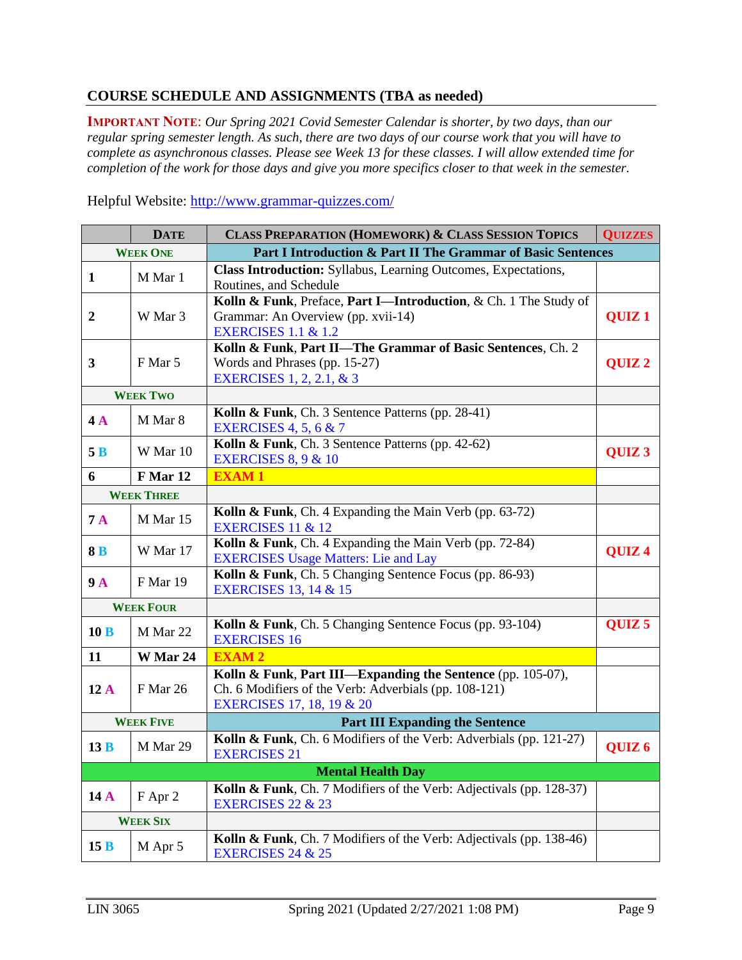#### **COURSE SCHEDULE AND ASSIGNMENTS (TBA as needed)**

**IMPORTANT NOTE**: *Our Spring 2021 Covid Semester Calendar is shorter, by two days, than our regular spring semester length. As such, there are two days of our course work that you will have to complete as asynchronous classes. Please see Week 13 for these classes. I will allow extended time for completion of the work for those days and give you more specifics closer to that week in the semester.*

Helpful Website:<http://www.grammar-quizzes.com/>

| <b>DATE</b>              |                   | <b>CLASS PREPARATION (HOMEWORK) &amp; CLASS SESSION TOPICS</b>                                                                                               |                   |  |  |
|--------------------------|-------------------|--------------------------------------------------------------------------------------------------------------------------------------------------------------|-------------------|--|--|
|                          | <b>WEEK ONE</b>   | Part I Introduction & Part II The Grammar of Basic Sentences                                                                                                 |                   |  |  |
| $\mathbf{1}$             | M Mar 1           | <b>Class Introduction:</b> Syllabus, Learning Outcomes, Expectations,<br>Routines, and Schedule                                                              |                   |  |  |
| $\boldsymbol{2}$         | W Mar 3           | Kolln & Funk, Preface, Part I-Introduction, & Ch. 1 The Study of<br>Grammar: An Overview (pp. xvii-14)<br><b>EXERCISES 1.1 &amp; 1.2</b>                     | QUIZ <sub>1</sub> |  |  |
| $\mathbf{3}$             | F Mar 5           | Kolln & Funk, Part II-The Grammar of Basic Sentences, Ch. 2<br>Words and Phrases (pp. 15-27)<br><b>EXERCISES</b> 1, 2, 2.1, & 3                              | QUIZ <sub>2</sub> |  |  |
|                          | <b>WEEK TWO</b>   |                                                                                                                                                              |                   |  |  |
| 4A                       | M Mar 8           | Kolln & Funk, Ch. 3 Sentence Patterns (pp. 28-41)<br><b>EXERCISES 4, 5, 6 &amp; 7</b>                                                                        |                   |  |  |
| 5B                       | W Mar 10          | Kolln & Funk, Ch. 3 Sentence Patterns (pp. 42-62)<br><b>EXERCISES 8, 9 &amp; 10</b>                                                                          | QUIZ <sub>3</sub> |  |  |
| 6                        | F Mar 12          | <b>EXAM1</b>                                                                                                                                                 |                   |  |  |
|                          | <b>WEEK THREE</b> |                                                                                                                                                              |                   |  |  |
| 7A                       | M Mar 15          | Kolln & Funk, Ch. 4 Expanding the Main Verb (pp. 63-72)<br><b>EXERCISES 11 &amp; 12</b>                                                                      |                   |  |  |
| 8B                       | W Mar 17          | Kolln & Funk, Ch. 4 Expanding the Main Verb (pp. 72-84)<br><b>EXERCISES Usage Matters: Lie and Lay</b>                                                       | QUIZ <sub>4</sub> |  |  |
| 9A                       | F Mar 19          | Kolln & Funk, Ch. 5 Changing Sentence Focus (pp. 86-93)<br><b>EXERCISES 13, 14 &amp; 15</b>                                                                  |                   |  |  |
|                          | <b>WEEK FOUR</b>  |                                                                                                                                                              |                   |  |  |
| 10B                      | M Mar 22          | Kolln & Funk, Ch. 5 Changing Sentence Focus (pp. 93-104)<br><b>EXERCISES 16</b>                                                                              | QUIZ <sub>5</sub> |  |  |
| 11                       | W Mar 24          | <b>EXAM2</b>                                                                                                                                                 |                   |  |  |
| 12A                      | F Mar 26          | Kolln & Funk, Part III—Expanding the Sentence (pp. 105-07),<br>Ch. 6 Modifiers of the Verb: Adverbials (pp. 108-121)<br><b>EXERCISES 17, 18, 19 &amp; 20</b> |                   |  |  |
| <b>WEEK FIVE</b>         |                   | <b>Part III Expanding the Sentence</b>                                                                                                                       |                   |  |  |
| 13B                      | M Mar 29          | Kolln & Funk, Ch. 6 Modifiers of the Verb: Adverbials (pp. 121-27)<br><b>EXERCISES 21</b>                                                                    | QUIZ <sub>6</sub> |  |  |
| <b>Mental Health Day</b> |                   |                                                                                                                                                              |                   |  |  |
| 14A                      | F Apr 2           | Kolln & Funk, Ch. 7 Modifiers of the Verb: Adjectivals (pp. 128-37)<br><b>EXERCISES 22 &amp; 23</b>                                                          |                   |  |  |
| <b>WEEK SIX</b>          |                   |                                                                                                                                                              |                   |  |  |
| 15B                      | M Apr 5           | Kolln & Funk, Ch. 7 Modifiers of the Verb: Adjectivals (pp. 138-46)<br><b>EXERCISES 24 &amp; 25</b>                                                          |                   |  |  |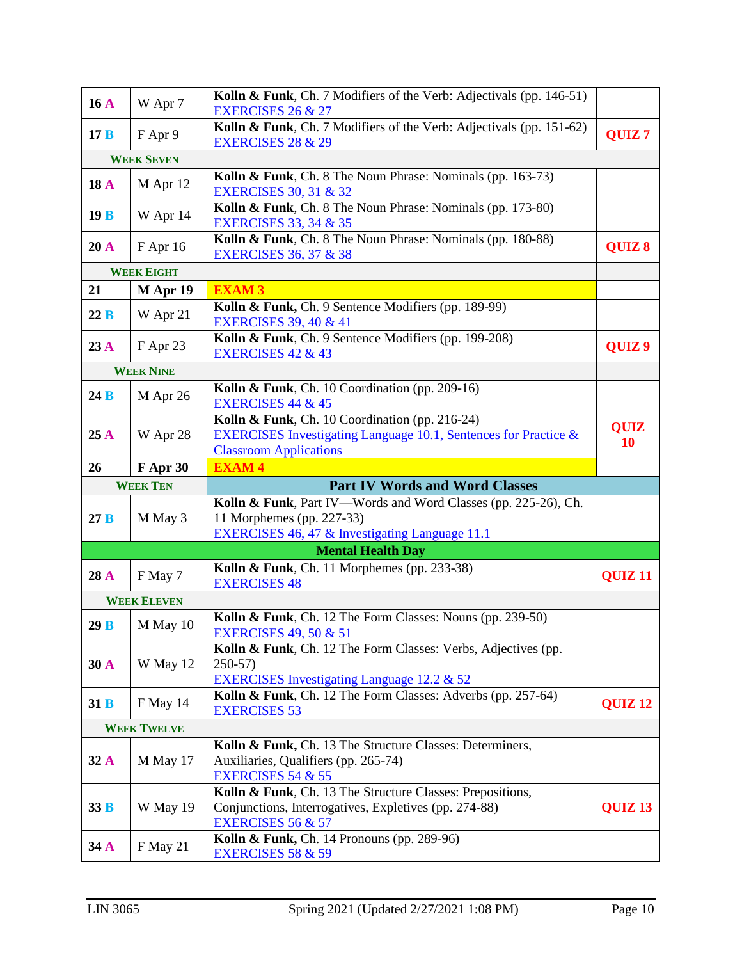| 16A         | W Apr 7            | Kolln & Funk, Ch. 7 Modifiers of the Verb: Adjectivals (pp. 146-51)<br><b>EXERCISES 26 &amp; 27</b>                                                |                          |
|-------------|--------------------|----------------------------------------------------------------------------------------------------------------------------------------------------|--------------------------|
| 17B         | F Apr 9            | Kolln & Funk, Ch. 7 Modifiers of the Verb: Adjectivals (pp. 151-62)<br><b>EXERCISES 28 &amp; 29</b>                                                | QUIZ <sub>7</sub>        |
|             | <b>WEEK SEVEN</b>  |                                                                                                                                                    |                          |
| <b>18 A</b> | M Apr 12           | Kolln & Funk, Ch. 8 The Noun Phrase: Nominals (pp. 163-73)<br><b>EXERCISES 30, 31 &amp; 32</b>                                                     |                          |
| 19B         | W Apr 14           | Kolln & Funk, Ch. 8 The Noun Phrase: Nominals (pp. 173-80)<br><b>EXERCISES 33, 34 &amp; 35</b>                                                     |                          |
| 20A         | F Apr 16           | Kolln & Funk, Ch. 8 The Noun Phrase: Nominals (pp. 180-88)<br><b>EXERCISES 36, 37 &amp; 38</b>                                                     | QUIZ 8                   |
|             | <b>WEEK EIGHT</b>  |                                                                                                                                                    |                          |
| 21          | M Apr 19           | <b>EXAM3</b>                                                                                                                                       |                          |
| 22B         | W Apr 21           | Kolln & Funk, Ch. 9 Sentence Modifiers (pp. 189-99)<br><b>EXERCISES 39, 40 &amp; 41</b>                                                            |                          |
| 23A         | F Apr 23           | Kolln & Funk, Ch. 9 Sentence Modifiers (pp. 199-208)<br><b>EXERCISES 42 &amp; 43</b>                                                               | QUIZ <sub>9</sub>        |
|             | <b>WEEK NINE</b>   |                                                                                                                                                    |                          |
| 24B         | M Apr 26           | Kolln & Funk, Ch. 10 Coordination (pp. 209-16)<br><b>EXERCISES 44 &amp; 45</b>                                                                     |                          |
| 25A         | W Apr 28           | Kolln & Funk, Ch. 10 Coordination (pp. 216-24)<br>EXERCISES Investigating Language 10.1, Sentences for Practice &<br><b>Classroom Applications</b> | <b>QUIZ</b><br><b>10</b> |
| 26          | F Apr 30           | <b>EXAM4</b>                                                                                                                                       |                          |
|             |                    |                                                                                                                                                    |                          |
|             | <b>WEEK TEN</b>    | <b>Part IV Words and Word Classes</b>                                                                                                              |                          |
| 27B         | M May 3            | Kolln & Funk, Part IV-Words and Word Classes (pp. 225-26), Ch.<br>11 Morphemes (pp. 227-33)<br>EXERCISES 46, 47 & Investigating Language 11.1      |                          |
|             |                    | <b>Mental Health Day</b>                                                                                                                           |                          |
| 28 A        | F May 7            | Kolln & Funk, Ch. 11 Morphemes (pp. 233-38)<br><b>EXERCISES 48</b>                                                                                 | QUIZ <sub>11</sub>       |
|             | <b>WEEK ELEVEN</b> |                                                                                                                                                    |                          |
| 29B         | M May 10           | Kolln & Funk, Ch. 12 The Form Classes: Nouns (pp. 239-50)<br><b>EXERCISES 49, 50 &amp; 51</b>                                                      |                          |
| 30 A        | W May 12           | Kolln & Funk, Ch. 12 The Form Classes: Verbs, Adjectives (pp.<br>$250-57$                                                                          |                          |
| 31B         | F May 14           | EXERCISES Investigating Language 12.2 & 52<br>Kolln & Funk, Ch. 12 The Form Classes: Adverbs (pp. 257-64)<br><b>EXERCISES 53</b>                   | QUIZ <sub>12</sub>       |
|             | <b>WEEK TWELVE</b> |                                                                                                                                                    |                          |
| 32A         | M May 17           | Kolln & Funk, Ch. 13 The Structure Classes: Determiners,<br>Auxiliaries, Qualifiers (pp. 265-74)<br><b>EXERCISES 54 &amp; 55</b>                   |                          |
| 33B         | W May 19           | Kolln & Funk, Ch. 13 The Structure Classes: Prepositions,<br>Conjunctions, Interrogatives, Expletives (pp. 274-88)<br><b>EXERCISES 56 &amp; 57</b> | QUIZ <sub>13</sub>       |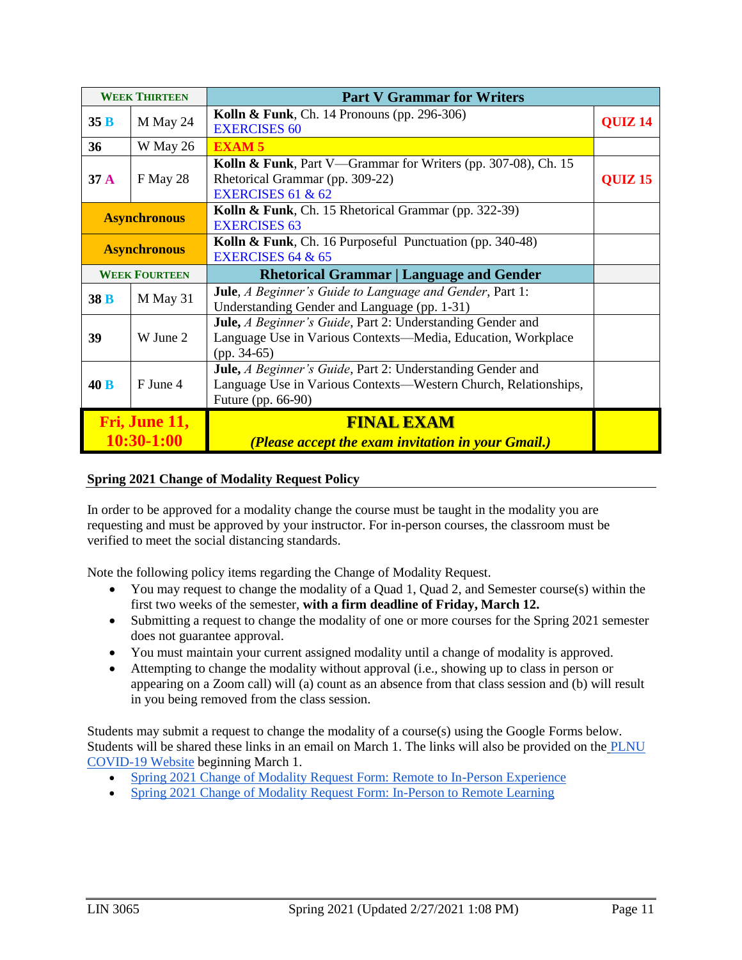| <b>WEEK THIRTEEN</b>        |                                                                                                                                              | <b>Part V Grammar for Writers</b>                                                                                                                           |                |
|-----------------------------|----------------------------------------------------------------------------------------------------------------------------------------------|-------------------------------------------------------------------------------------------------------------------------------------------------------------|----------------|
| 35B                         | M May 24                                                                                                                                     | Kolln & Funk, Ch. 14 Pronouns (pp. 296-306)<br><b>EXERCISES 60</b>                                                                                          |                |
| 36                          | W May 26                                                                                                                                     | <b>EXAM5</b>                                                                                                                                                |                |
| 37 <sub>A</sub>             | Kolln & Funk, Part V—Grammar for Writers (pp. 307-08), Ch. 15<br>Rhetorical Grammar (pp. 309-22)<br>F May 28<br><b>EXERCISES 61 &amp; 62</b> |                                                                                                                                                             | <b>QUIZ 15</b> |
| <b>Asynchronous</b>         |                                                                                                                                              | Kolln & Funk, Ch. 15 Rhetorical Grammar (pp. 322-39)<br><b>EXERCISES 63</b>                                                                                 |                |
| <b>Asynchronous</b>         |                                                                                                                                              | Kolln & Funk, Ch. 16 Purposeful Punctuation (pp. 340-48)<br>EXERCISES 64 $&65$                                                                              |                |
|                             | <b>WEEK FOURTEEN</b>                                                                                                                         | <b>Rhetorical Grammar   Language and Gender</b>                                                                                                             |                |
| 38 B                        | M May 31                                                                                                                                     | <b>Jule</b> , <i>A Beginner's Guide to Language and Gender</i> , Part 1:<br>Understanding Gender and Language (pp. 1-31)                                    |                |
| 39                          | W June 2                                                                                                                                     | Jule, A Beginner's Guide, Part 2: Understanding Gender and<br>Language Use in Various Contexts—Media, Education, Workplace<br>$(pp. 34-65)$                 |                |
| 40B                         | F June 4                                                                                                                                     | Jule, <i>A Beginner's Guide</i> , Part 2: Understanding Gender and<br>Language Use in Various Contexts—Western Church, Relationships,<br>Future (pp. 66-90) |                |
| Fri, June 11,<br>10:30-1:00 |                                                                                                                                              | <b>FINAL EXAM</b><br>(Please accept the exam invitation in your Gmail.)                                                                                     |                |

#### **Spring 2021 Change of Modality Request Policy**

In order to be approved for a modality change the course must be taught in the modality you are requesting and must be approved by your instructor. For in-person courses, the classroom must be verified to meet the social distancing standards.

Note the following policy items regarding the Change of Modality Request.

- You may request to change the modality of a Quad 1, Quad 2, and Semester course(s) within the first two weeks of the semester, **with a firm deadline of Friday, March 12.**
- Submitting a request to change the modality of one or more courses for the Spring 2021 semester does not guarantee approval.
- You must maintain your current assigned modality until a change of modality is approved.
- Attempting to change the modality without approval (i.e., showing up to class in person or appearing on a Zoom call) will (a) count as an absence from that class session and (b) will result in you being removed from the class session.

Students may submit a request to change the modality of a course(s) using the Google Forms below. Students will be shared these links in an email on March 1. The links will also be provided on the **[PLNU](https://www.pointloma.edu/coronavirus-covid-19-information/traditional-undergraduate-students/frequently-asked-questions)** [COVID-19 Website](https://www.pointloma.edu/coronavirus-covid-19-information/traditional-undergraduate-students/frequently-asked-questions) beginning March 1.

- [Spring 2021 Change of Modality Request Form: Remote to In-Person Experience](https://forms.gle/DZ4wYvuP9FmsPZQY6)
- [Spring 2021 Change of Modality Request Form: In-Person to Remote Learning](https://forms.gle/6TR5L1sa7eXLRjGq5)